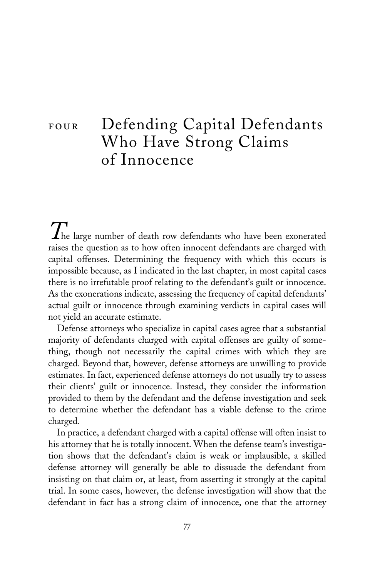# four Defending Capital Defendants Who Have Strong Claims of Innocence

The large number of death row defendants who have been exonerated raises the question as to how often innocent defendants are charged with capital offenses. Determining the frequency with which this occurs is impossible because, as I indicated in the last chapter, in most capital cases there is no irrefutable proof relating to the defendant's guilt or innocence. As the exonerations indicate, assessing the frequency of capital defendants' actual guilt or innocence through examining verdicts in capital cases will not yield an accurate estimate.

Defense attorneys who specialize in capital cases agree that a substantial majority of defendants charged with capital offenses are guilty of something, though not necessarily the capital crimes with which they are charged. Beyond that, however, defense attorneys are unwilling to provide estimates. In fact, experienced defense attorneys do not usually try to assess their clients' guilt or innocence. Instead, they consider the information provided to them by the defendant and the defense investigation and seek to determine whether the defendant has a viable defense to the crime charged.

In practice, a defendant charged with a capital offense will often insist to his attorney that he is totally innocent. When the defense team's investigation shows that the defendant's claim is weak or implausible, a skilled defense attorney will generally be able to dissuade the defendant from insisting on that claim or, at least, from asserting it strongly at the capital trial. In some cases, however, the defense investigation will show that the defendant in fact has a strong claim of innocence, one that the attorney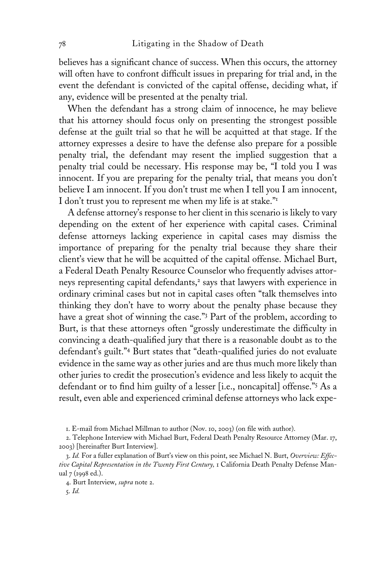believes has a significant chance of success. When this occurs, the attorney will often have to confront difficult issues in preparing for trial and, in the event the defendant is convicted of the capital offense, deciding what, if any, evidence will be presented at the penalty trial.

When the defendant has a strong claim of innocence, he may believe that his attorney should focus only on presenting the strongest possible defense at the guilt trial so that he will be acquitted at that stage. If the attorney expresses a desire to have the defense also prepare for a possible penalty trial, the defendant may resent the implied suggestion that a penalty trial could be necessary. His response may be, "I told you I was innocent. If you are preparing for the penalty trial, that means you don't believe I am innocent. If you don't trust me when I tell you I am innocent, I don't trust you to represent me when my life is at stake."<sup>1</sup>

A defense attorney's response to her client in this scenario is likely to vary depending on the extent of her experience with capital cases. Criminal defense attorneys lacking experience in capital cases may dismiss the importance of preparing for the penalty trial because they share their client's view that he will be acquitted of the capital offense. Michael Burt, a Federal Death Penalty Resource Counselor who frequently advises attorneys representing capital defendants,<sup>2</sup> says that lawyers with experience in ordinary criminal cases but not in capital cases often "talk themselves into thinking they don't have to worry about the penalty phase because they have a great shot of winning the case."3 Part of the problem, according to Burt, is that these attorneys often "grossly underestimate the difficulty in convincing a death-qualified jury that there is a reasonable doubt as to the defendant's guilt."<sup>4</sup> Burt states that "death-qualified juries do not evaluate evidence in the same way as other juries and are thus much more likely than other juries to credit the prosecution's evidence and less likely to acquit the defendant or to find him guilty of a lesser [i.e., noncapital] offense."5 As a result, even able and experienced criminal defense attorneys who lack expe-

1. E-mail from Michael Millman to author (Nov. 10, 2003) (on file with author).

2. Telephone Interview with Michael Burt, Federal Death Penalty Resource Attorney (Mar. 17, 2003) [hereinafter Burt Interview].

4. Burt Interview, *supra* note 2.

<sup>3.</sup> *Id.* For a fuller explanation of Burt's view on this point, see Michael N. Burt, *Overview: Effective Capital Representation in the Twenty First Century,* 1 California Death Penalty Defense Manual 7 (1998 ed.).

<sup>5.</sup> *Id.*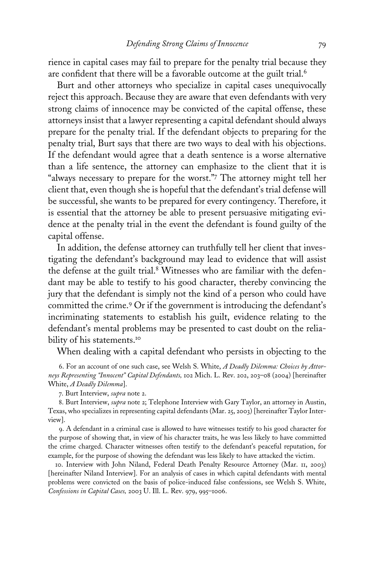rience in capital cases may fail to prepare for the penalty trial because they are confident that there will be a favorable outcome at the guilt trial.<sup>6</sup>

Burt and other attorneys who specialize in capital cases unequivocally reject this approach. Because they are aware that even defendants with very strong claims of innocence may be convicted of the capital offense, these attorneys insist that a lawyer representing a capital defendant should always prepare for the penalty trial. If the defendant objects to preparing for the penalty trial, Burt says that there are two ways to deal with his objections. If the defendant would agree that a death sentence is a worse alternative than a life sentence, the attorney can emphasize to the client that it is "always necessary to prepare for the worst."<sup>7</sup> The attorney might tell her client that, even though she is hopeful that the defendant's trial defense will be successful, she wants to be prepared for every contingency. Therefore, it is essential that the attorney be able to present persuasive mitigating evidence at the penalty trial in the event the defendant is found guilty of the capital offense.

In addition, the defense attorney can truthfully tell her client that investigating the defendant's background may lead to evidence that will assist the defense at the guilt trial.<sup>8</sup> Witnesses who are familiar with the defendant may be able to testify to his good character, thereby convincing the jury that the defendant is simply not the kind of a person who could have committed the crime.9 Or if the government is introducing the defendant's incriminating statements to establish his guilt, evidence relating to the defendant's mental problems may be presented to cast doubt on the reliability of his statements.<sup>10</sup>

When dealing with a capital defendant who persists in objecting to the

6. For an account of one such case, see Welsh S. White, *A Deadly Dilemma: Choices by Attorneys Representing "Innocent" Capital Defendants,* 102 Mich. L. Rev. 202, 203–08 (2004) [hereinafter White, *A Deadly Dilemma*].

7. Burt Interview, *supra* note 2.

8. Burt Interview, *supra* note 2; Telephone Interview with Gary Taylor, an attorney in Austin, Texas, who specializes in representing capital defendants (Mar. 25, 2003) [hereinafter Taylor Interview].

9. A defendant in a criminal case is allowed to have witnesses testify to his good character for the purpose of showing that, in view of his character traits, he was less likely to have committed the crime charged. Character witnesses often testify to the defendant's peaceful reputation, for example, for the purpose of showing the defendant was less likely to have attacked the victim.

10. Interview with John Niland, Federal Death Penalty Resource Attorney (Mar. 11, 2003) [hereinafter Niland Interview]. For an analysis of cases in which capital defendants with mental problems were convicted on the basis of police-induced false confessions, see Welsh S. White, *Confessions in Capital Cases,* 2003 U. Ill. L. Rev. 979, 995–1006.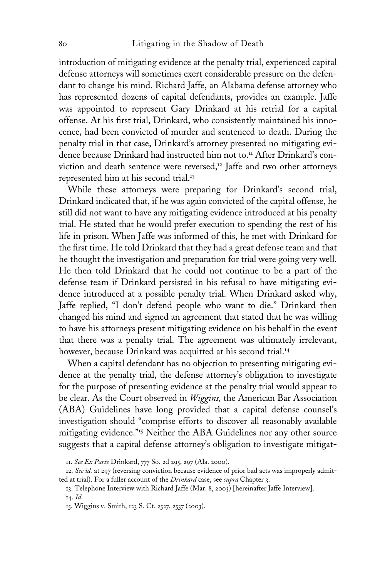introduction of mitigating evidence at the penalty trial, experienced capital defense attorneys will sometimes exert considerable pressure on the defendant to change his mind. Richard Jaffe, an Alabama defense attorney who has represented dozens of capital defendants, provides an example. Jaffe was appointed to represent Gary Drinkard at his retrial for a capital offense. At his first trial, Drinkard, who consistently maintained his innocence, had been convicted of murder and sentenced to death. During the penalty trial in that case, Drinkard's attorney presented no mitigating evidence because Drinkard had instructed him not to.11 After Drinkard's conviction and death sentence were reversed,<sup>12</sup> Jaffe and two other attorneys represented him at his second trial.<sup>13</sup>

While these attorneys were preparing for Drinkard's second trial, Drinkard indicated that, if he was again convicted of the capital offense, he still did not want to have any mitigating evidence introduced at his penalty trial. He stated that he would prefer execution to spending the rest of his life in prison. When Jaffe was informed of this, he met with Drinkard for the first time. He told Drinkard that they had a great defense team and that he thought the investigation and preparation for trial were going very well. He then told Drinkard that he could not continue to be a part of the defense team if Drinkard persisted in his refusal to have mitigating evidence introduced at a possible penalty trial. When Drinkard asked why, Jaffe replied, "I don't defend people who want to die." Drinkard then changed his mind and signed an agreement that stated that he was willing to have his attorneys present mitigating evidence on his behalf in the event that there was a penalty trial. The agreement was ultimately irrelevant, however, because Drinkard was acquitted at his second trial.<sup>14</sup>

When a capital defendant has no objection to presenting mitigating evidence at the penalty trial, the defense attorney's obligation to investigate for the purpose of presenting evidence at the penalty trial would appear to be clear. As the Court observed in *Wiggins,* the American Bar Association (ABA) Guidelines have long provided that a capital defense counsel's investigation should "comprise efforts to discover all reasonably available mitigating evidence."15 Neither the ABA Guidelines nor any other source suggests that a capital defense attorney's obligation to investigate mitigat-

<sup>11.</sup> *See Ex Parte* Drinkard, 777 So. 2d 295, 297 (Ala. 2000).

<sup>12.</sup> *See id.* at 297 (reversing conviction because evidence of prior bad acts was improperly admitted at trial). For a fuller account of the *Drinkard* case, see *supra* Chapter 3.

<sup>13.</sup> Telephone Interview with Richard Jaffe (Mar. 8, 2003) [hereinafter Jaffe Interview]. 14. *Id.*

<sup>15.</sup> Wiggins v. Smith, 123 S. Ct. 2527, 2537 (2003).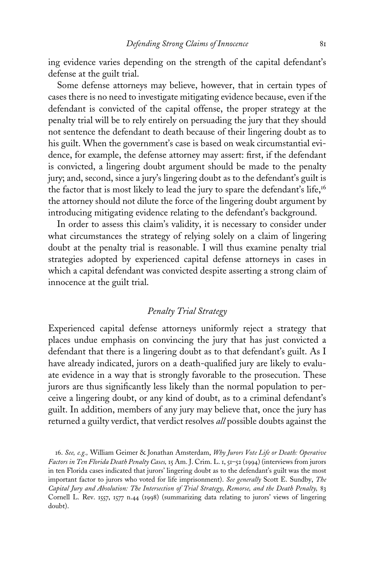ing evidence varies depending on the strength of the capital defendant's defense at the guilt trial.

Some defense attorneys may believe, however, that in certain types of cases there is no need to investigate mitigating evidence because, even if the defendant is convicted of the capital offense, the proper strategy at the penalty trial will be to rely entirely on persuading the jury that they should not sentence the defendant to death because of their lingering doubt as to his guilt. When the government's case is based on weak circumstantial evidence, for example, the defense attorney may assert: first, if the defendant is convicted, a lingering doubt argument should be made to the penalty jury; and, second, since a jury's lingering doubt as to the defendant's guilt is the factor that is most likely to lead the jury to spare the defendant's life,<sup>16</sup> the attorney should not dilute the force of the lingering doubt argument by introducing mitigating evidence relating to the defendant's background.

In order to assess this claim's validity, it is necessary to consider under what circumstances the strategy of relying solely on a claim of lingering doubt at the penalty trial is reasonable. I will thus examine penalty trial strategies adopted by experienced capital defense attorneys in cases in which a capital defendant was convicted despite asserting a strong claim of innocence at the guilt trial.

# *Penalty Trial Strategy*

Experienced capital defense attorneys uniformly reject a strategy that places undue emphasis on convincing the jury that has just convicted a defendant that there is a lingering doubt as to that defendant's guilt. As I have already indicated, jurors on a death-qualified jury are likely to evaluate evidence in a way that is strongly favorable to the prosecution. These jurors are thus significantly less likely than the normal population to perceive a lingering doubt, or any kind of doubt, as to a criminal defendant's guilt. In addition, members of any jury may believe that, once the jury has returned a guilty verdict, that verdict resolves *all* possible doubts against the

<sup>16.</sup> *See, e.g.,* William Geimer & Jonathan Amsterdam, *Why Jurors Vote Life or Death: Operative Factors in Ten Florida Death Penalty Cases,* 15 Am. J. Crim. L. 1, 51–52 (1994) (interviews from jurors in ten Florida cases indicated that jurors' lingering doubt as to the defendant's guilt was the most important factor to jurors who voted for life imprisonment). *See generally* Scott E. Sundby, *The Capital Jury and Absolution: The Intersection of Trial Strategy, Remorse, and the Death Penalty,* 83 Cornell L. Rev. 1557, 1577 n.44 (1998) (summarizing data relating to jurors' views of lingering doubt).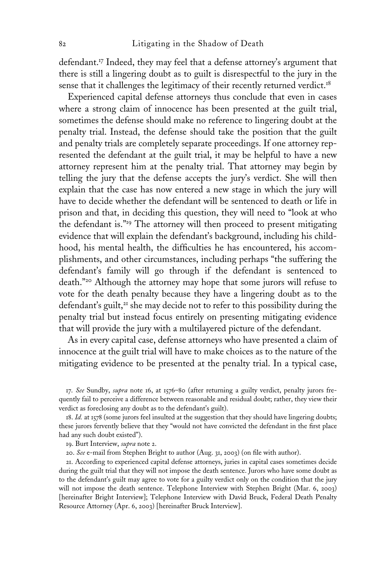defendant.<sup>17</sup> Indeed, they may feel that a defense attorney's argument that there is still a lingering doubt as to guilt is disrespectful to the jury in the sense that it challenges the legitimacy of their recently returned verdict.<sup>18</sup>

Experienced capital defense attorneys thus conclude that even in cases where a strong claim of innocence has been presented at the guilt trial, sometimes the defense should make no reference to lingering doubt at the penalty trial. Instead, the defense should take the position that the guilt and penalty trials are completely separate proceedings. If one attorney represented the defendant at the guilt trial, it may be helpful to have a new attorney represent him at the penalty trial. That attorney may begin by telling the jury that the defense accepts the jury's verdict. She will then explain that the case has now entered a new stage in which the jury will have to decide whether the defendant will be sentenced to death or life in prison and that, in deciding this question, they will need to "look at who the defendant is."19 The attorney will then proceed to present mitigating evidence that will explain the defendant's background, including his childhood, his mental health, the difficulties he has encountered, his accomplishments, and other circumstances, including perhaps "the suffering the defendant's family will go through if the defendant is sentenced to death."<sup>20</sup> Although the attorney may hope that some jurors will refuse to vote for the death penalty because they have a lingering doubt as to the defendant's guilt,<sup>21</sup> she may decide not to refer to this possibility during the penalty trial but instead focus entirely on presenting mitigating evidence that will provide the jury with a multilayered picture of the defendant.

As in every capital case, defense attorneys who have presented a claim of innocence at the guilt trial will have to make choices as to the nature of the mitigating evidence to be presented at the penalty trial. In a typical case,

17. *See* Sundby, *supra* note 16, at 1576–80 (after returning a guilty verdict, penalty jurors frequently fail to perceive a difference between reasonable and residual doubt; rather, they view their verdict as foreclosing any doubt as to the defendant's guilt).

18. *Id.* at 1578 (some jurors feel insulted at the suggestion that they should have lingering doubts; these jurors fervently believe that they "would not have convicted the defendant in the first place had any such doubt existed").

19. Burt Interview, *supra* note 2.

20. See e-mail from Stephen Bright to author (Aug. 31, 2003) (on file with author).

21. According to experienced capital defense attorneys, juries in capital cases sometimes decide during the guilt trial that they will not impose the death sentence. Jurors who have some doubt as to the defendant's guilt may agree to vote for a guilty verdict only on the condition that the jury will not impose the death sentence. Telephone Interview with Stephen Bright (Mar. 6, 2003) [hereinafter Bright Interview]; Telephone Interview with David Bruck, Federal Death Penalty Resource Attorney (Apr. 6, 2003) [hereinafter Bruck Interview].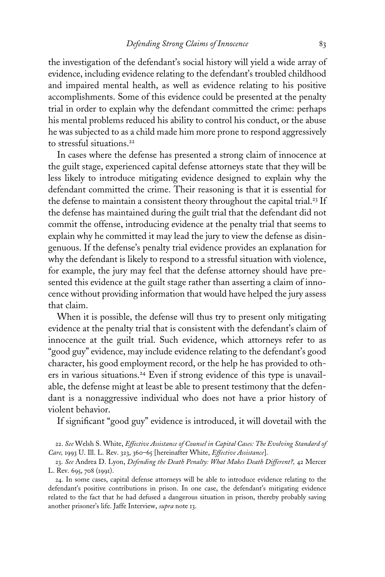the investigation of the defendant's social history will yield a wide array of evidence, including evidence relating to the defendant's troubled childhood and impaired mental health, as well as evidence relating to his positive accomplishments. Some of this evidence could be presented at the penalty trial in order to explain why the defendant committed the crime: perhaps his mental problems reduced his ability to control his conduct, or the abuse he was subjected to as a child made him more prone to respond aggressively to stressful situations.<sup>22</sup>

In cases where the defense has presented a strong claim of innocence at the guilt stage, experienced capital defense attorneys state that they will be less likely to introduce mitigating evidence designed to explain why the defendant committed the crime. Their reasoning is that it is essential for the defense to maintain a consistent theory throughout the capital trial.<sup>23</sup> If the defense has maintained during the guilt trial that the defendant did not commit the offense, introducing evidence at the penalty trial that seems to explain why he committed it may lead the jury to view the defense as disingenuous. If the defense's penalty trial evidence provides an explanation for why the defendant is likely to respond to a stressful situation with violence, for example, the jury may feel that the defense attorney should have presented this evidence at the guilt stage rather than asserting a claim of innocence without providing information that would have helped the jury assess that claim.

When it is possible, the defense will thus try to present only mitigating evidence at the penalty trial that is consistent with the defendant's claim of innocence at the guilt trial. Such evidence, which attorneys refer to as "good guy" evidence, may include evidence relating to the defendant's good character, his good employment record, or the help he has provided to others in various situations.<sup>24</sup> Even if strong evidence of this type is unavailable, the defense might at least be able to present testimony that the defendant is a nonaggressive individual who does not have a prior history of violent behavior.

If significant "good guy" evidence is introduced, it will dovetail with the

<sup>22.</sup> *See* Welsh S. White, *Effective Assistance of Counsel in Capital Cases: The Evolving Standard of Care,* 1993 U. Ill. L. Rev. 323, 360–65 [hereinafter White, *Effective Assistance*].

<sup>23.</sup> *See* Andrea D. Lyon, *Defending the Death Penalty: What Makes Death Different?,* 42 Mercer L. Rev. 695, 708 (1991).

<sup>24.</sup> In some cases, capital defense attorneys will be able to introduce evidence relating to the defendant's positive contributions in prison. In one case, the defendant's mitigating evidence related to the fact that he had defused a dangerous situation in prison, thereby probably saving another prisoner's life. Jaffe Interview, *supra* note 13.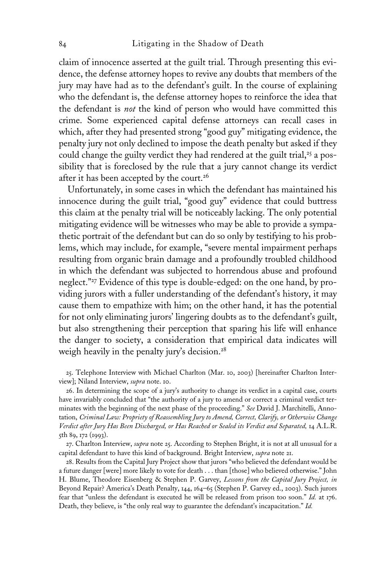claim of innocence asserted at the guilt trial. Through presenting this evidence, the defense attorney hopes to revive any doubts that members of the jury may have had as to the defendant's guilt. In the course of explaining who the defendant is, the defense attorney hopes to reinforce the idea that the defendant is *not* the kind of person who would have committed this crime. Some experienced capital defense attorneys can recall cases in which, after they had presented strong "good guy" mitigating evidence, the penalty jury not only declined to impose the death penalty but asked if they could change the guilty verdict they had rendered at the guilt trial,<sup>25</sup> a possibility that is foreclosed by the rule that a jury cannot change its verdict after it has been accepted by the court.<sup>26</sup>

Unfortunately, in some cases in which the defendant has maintained his innocence during the guilt trial, "good guy" evidence that could buttress this claim at the penalty trial will be noticeably lacking. The only potential mitigating evidence will be witnesses who may be able to provide a sympathetic portrait of the defendant but can do so only by testifying to his problems, which may include, for example, "severe mental impairment perhaps resulting from organic brain damage and a profoundly troubled childhood in which the defendant was subjected to horrendous abuse and profound neglect."<sup>27</sup> Evidence of this type is double-edged: on the one hand, by providing jurors with a fuller understanding of the defendant's history, it may cause them to empathize with him; on the other hand, it has the potential for not only eliminating jurors' lingering doubts as to the defendant's guilt, but also strengthening their perception that sparing his life will enhance the danger to society, a consideration that empirical data indicates will weigh heavily in the penalty jury's decision.<sup>28</sup>

25. Telephone Interview with Michael Charlton (Mar. 10, 2003) [hereinafter Charlton Interview]; Niland Interview, *supra* note. 10.

26. In determining the scope of a jury's authority to change its verdict in a capital case, courts have invariably concluded that "the authority of a jury to amend or correct a criminal verdict terminates with the beginning of the next phase of the proceeding." *See* David J. Marchitelli, Annotation, *Criminal Law: Propriety of Reassembling Jury to Amend, Correct, Clarify, or Otherwise Change Verdict after Jury Has Been Discharged, or Has Reached or Sealed its Verdict and Separated,* 14 A.L.R. 5th 89, 172 (1993).

27. Charlton Interview, *supra* note 25. According to Stephen Bright, it is not at all unusual for a capital defendant to have this kind of background. Bright Interview, *supra* note 21.

28. Results from the Capital Jury Project show that jurors "who believed the defendant would be a future danger [were] more likely to vote for death . . . than [those] who believed otherwise." John H. Blume, Theodore Eisenberg & Stephen P. Garvey, *Lessons from the Capital Jury Project, in* Beyond Repair? America's Death Penalty, 144, 164–65 (Stephen P. Garvey ed., 2003). Such jurors fear that "unless the defendant is executed he will be released from prison too soon." *Id.* at 176. Death, they believe, is "the only real way to guarantee the defendant's incapacitation." *Id.*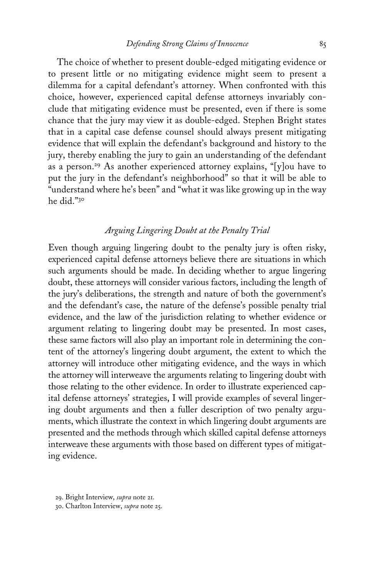The choice of whether to present double-edged mitigating evidence or to present little or no mitigating evidence might seem to present a dilemma for a capital defendant's attorney. When confronted with this choice, however, experienced capital defense attorneys invariably conclude that mitigating evidence must be presented, even if there is some chance that the jury may view it as double-edged. Stephen Bright states that in a capital case defense counsel should always present mitigating evidence that will explain the defendant's background and history to the jury, thereby enabling the jury to gain an understanding of the defendant as a person.<sup>29</sup> As another experienced attorney explains, "[y]ou have to put the jury in the defendant's neighborhood" so that it will be able to "understand where he's been" and "what it was like growing up in the way he did."<sup>30</sup>

# *Arguing Lingering Doubt at the Penalty Trial*

Even though arguing lingering doubt to the penalty jury is often risky, experienced capital defense attorneys believe there are situations in which such arguments should be made. In deciding whether to argue lingering doubt, these attorneys will consider various factors, including the length of the jury's deliberations, the strength and nature of both the government's and the defendant's case, the nature of the defense's possible penalty trial evidence, and the law of the jurisdiction relating to whether evidence or argument relating to lingering doubt may be presented. In most cases, these same factors will also play an important role in determining the content of the attorney's lingering doubt argument, the extent to which the attorney will introduce other mitigating evidence, and the ways in which the attorney will interweave the arguments relating to lingering doubt with those relating to the other evidence. In order to illustrate experienced capital defense attorneys' strategies, I will provide examples of several lingering doubt arguments and then a fuller description of two penalty arguments, which illustrate the context in which lingering doubt arguments are presented and the methods through which skilled capital defense attorneys interweave these arguments with those based on different types of mitigating evidence.

<sup>29.</sup> Bright Interview, *supra* note 21.

<sup>30.</sup> Charlton Interview, *supra* note 25.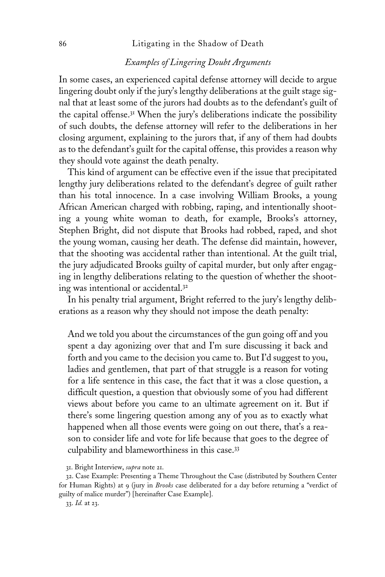# *Examples of Lingering Doubt Arguments*

In some cases, an experienced capital defense attorney will decide to argue lingering doubt only if the jury's lengthy deliberations at the guilt stage signal that at least some of the jurors had doubts as to the defendant's guilt of the capital offense. $3<sup>T</sup>$  When the jury's deliberations indicate the possibility of such doubts, the defense attorney will refer to the deliberations in her closing argument, explaining to the jurors that, if any of them had doubts as to the defendant's guilt for the capital offense, this provides a reason why they should vote against the death penalty.

This kind of argument can be effective even if the issue that precipitated lengthy jury deliberations related to the defendant's degree of guilt rather than his total innocence. In a case involving William Brooks, a young African American charged with robbing, raping, and intentionally shooting a young white woman to death, for example, Brooks's attorney, Stephen Bright, did not dispute that Brooks had robbed, raped, and shot the young woman, causing her death. The defense did maintain, however, that the shooting was accidental rather than intentional. At the guilt trial, the jury adjudicated Brooks guilty of capital murder, but only after engaging in lengthy deliberations relating to the question of whether the shooting was intentional or accidental.32

In his penalty trial argument, Bright referred to the jury's lengthy deliberations as a reason why they should not impose the death penalty:

And we told you about the circumstances of the gun going off and you spent a day agonizing over that and I'm sure discussing it back and forth and you came to the decision you came to. But I'd suggest to you, ladies and gentlemen, that part of that struggle is a reason for voting for a life sentence in this case, the fact that it was a close question, a difficult question, a question that obviously some of you had different views about before you came to an ultimate agreement on it. But if there's some lingering question among any of you as to exactly what happened when all those events were going on out there, that's a reason to consider life and vote for life because that goes to the degree of culpability and blameworthiness in this case.33

<sup>31.</sup> Bright Interview, *supra* note 21.

<sup>32.</sup> Case Example: Presenting a Theme Throughout the Case (distributed by Southern Center for Human Rights) at 9 (jury in *Brooks* case deliberated for a day before returning a "verdict of guilty of malice murder") [hereinafter Case Example].

<sup>33.</sup> *Id.* at 23.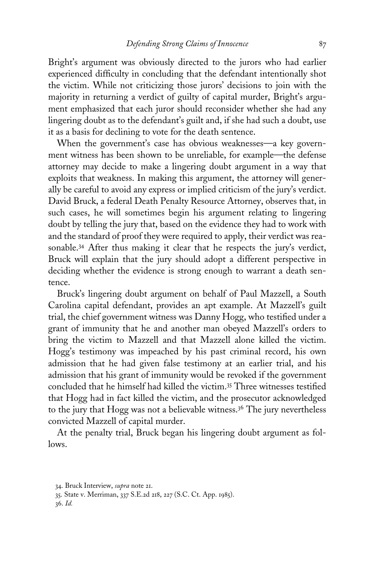Bright's argument was obviously directed to the jurors who had earlier experienced difficulty in concluding that the defendant intentionally shot the victim. While not criticizing those jurors' decisions to join with the majority in returning a verdict of guilty of capital murder, Bright's argument emphasized that each juror should reconsider whether she had any lingering doubt as to the defendant's guilt and, if she had such a doubt, use it as a basis for declining to vote for the death sentence.

When the government's case has obvious weaknesses—a key government witness has been shown to be unreliable, for example—the defense attorney may decide to make a lingering doubt argument in a way that exploits that weakness. In making this argument, the attorney will generally be careful to avoid any express or implied criticism of the jury's verdict. David Bruck, a federal Death Penalty Resource Attorney, observes that, in such cases, he will sometimes begin his argument relating to lingering doubt by telling the jury that, based on the evidence they had to work with and the standard of proof they were required to apply, their verdict was reasonable.34 After thus making it clear that he respects the jury's verdict, Bruck will explain that the jury should adopt a different perspective in deciding whether the evidence is strong enough to warrant a death sentence.

Bruck's lingering doubt argument on behalf of Paul Mazzell, a South Carolina capital defendant, provides an apt example. At Mazzell's guilt trial, the chief government witness was Danny Hogg, who testified under a grant of immunity that he and another man obeyed Mazzell's orders to bring the victim to Mazzell and that Mazzell alone killed the victim. Hogg's testimony was impeached by his past criminal record, his own admission that he had given false testimony at an earlier trial, and his admission that his grant of immunity would be revoked if the government concluded that he himself had killed the victim.<sup>35</sup> Three witnesses testified that Hogg had in fact killed the victim, and the prosecutor acknowledged to the jury that Hogg was not a believable witness.<sup>36</sup> The jury nevertheless convicted Mazzell of capital murder.

At the penalty trial, Bruck began his lingering doubt argument as follows.

36. *Id.*

<sup>34.</sup> Bruck Interview, *supra* note 21.

<sup>35.</sup> State v. Merriman, 337 S.E.2d 218, 227 (S.C. Ct. App. 1985).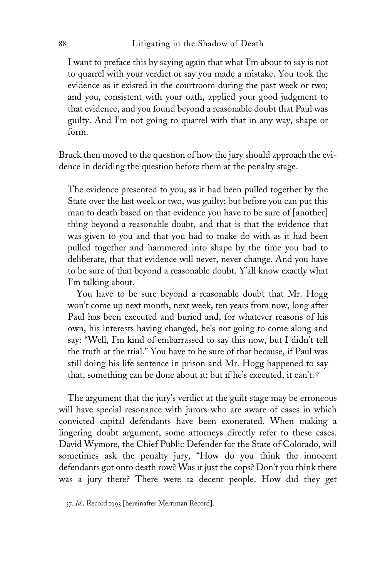I want to preface this by saying again that what I'm about to say is not to quarrel with your verdict or say you made a mistake. You took the evidence as it existed in the courtroom during the past week or two; and you, consistent with your oath, applied your good judgment to that evidence, and you found beyond a reasonable doubt that Paul was guilty. And I'm not going to quarrel with that in any way, shape or form.

Bruck then moved to the question of how the jury should approach the evidence in deciding the question before them at the penalty stage.

The evidence presented to you, as it had been pulled together by the State over the last week or two, was guilty; but before you can put this man to death based on that evidence you have to be sure of [another] thing beyond a reasonable doubt, and that is that the evidence that was given to you and that you had to make do with as it had been pulled together and hammered into shape by the time you had to deliberate, that that evidence will never, never change. And you have to be sure of that beyond a reasonable doubt. Y'all know exactly what I'm talking about.

You have to be sure beyond a reasonable doubt that Mr. Hogg won't come up next month, next week, ten years from now, long after Paul has been executed and buried and, for whatever reasons of his own, his interests having changed, he's not going to come along and say: "Well, I'm kind of embarrassed to say this now, but I didn't tell the truth at the trial." You have to be sure of that because, if Paul was still doing his life sentence in prison and Mr. Hogg happened to say that, something can be done about it; but if he's executed, it can't.37

The argument that the jury's verdict at the guilt stage may be erroneous will have special resonance with jurors who are aware of cases in which convicted capital defendants have been exonerated. When making a lingering doubt argument, some attorneys directly refer to these cases. David Wymore, the Chief Public Defender for the State of Colorado, will sometimes ask the penalty jury, "How do you think the innocent defendants got onto death row? Was it just the cops? Don't you think there was a jury there? There were 12 decent people. How did they get

<sup>37.</sup> *Id.,* Record 1993 [hereinafter Merriman Record].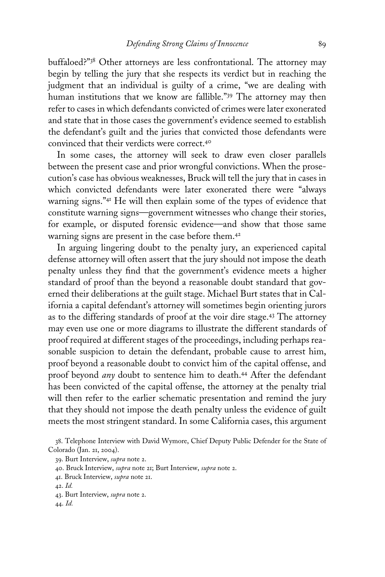buffaloed?"<sup>38</sup> Other attorneys are less confrontational. The attorney may begin by telling the jury that she respects its verdict but in reaching the judgment that an individual is guilty of a crime, "we are dealing with human institutions that we know are fallible."39 The attorney may then refer to cases in which defendants convicted of crimes were later exonerated and state that in those cases the government's evidence seemed to establish the defendant's guilt and the juries that convicted those defendants were convinced that their verdicts were correct.40

In some cases, the attorney will seek to draw even closer parallels between the present case and prior wrongful convictions. When the prosecution's case has obvious weaknesses, Bruck will tell the jury that in cases in which convicted defendants were later exonerated there were "always warning signs."41 He will then explain some of the types of evidence that constitute warning signs—government witnesses who change their stories, for example, or disputed forensic evidence—and show that those same warning signs are present in the case before them.<sup>42</sup>

In arguing lingering doubt to the penalty jury, an experienced capital defense attorney will often assert that the jury should not impose the death penalty unless they find that the government's evidence meets a higher standard of proof than the beyond a reasonable doubt standard that governed their deliberations at the guilt stage. Michael Burt states that in California a capital defendant's attorney will sometimes begin orienting jurors as to the differing standards of proof at the voir dire stage.43 The attorney may even use one or more diagrams to illustrate the different standards of proof required at different stages of the proceedings, including perhaps reasonable suspicion to detain the defendant, probable cause to arrest him, proof beyond a reasonable doubt to convict him of the capital offense, and proof beyond *any* doubt to sentence him to death.44 After the defendant has been convicted of the capital offense, the attorney at the penalty trial will then refer to the earlier schematic presentation and remind the jury that they should not impose the death penalty unless the evidence of guilt meets the most stringent standard. In some California cases, this argument

<sup>38.</sup> Telephone Interview with David Wymore, Chief Deputy Public Defender for the State of Colorado (Jan. 21, 2004).

<sup>39.</sup> Burt Interview, *supra* note 2.

<sup>40.</sup> Bruck Interview, *supra* note 21; Burt Interview, *supra* note 2.

<sup>41.</sup> Bruck Interview, *supra* note 21.

<sup>42.</sup> *Id.*

<sup>43.</sup> Burt Interview, *supra* note 2.

<sup>44.</sup> *Id.*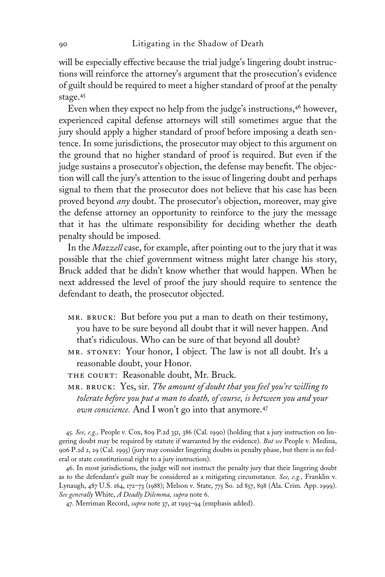will be especially effective because the trial judge's lingering doubt instructions will reinforce the attorney's argument that the prosecution's evidence of guilt should be required to meet a higher standard of proof at the penalty stage.<sup>45</sup>

Even when they expect no help from the judge's instructions,<sup>46</sup> however, experienced capital defense attorneys will still sometimes argue that the jury should apply a higher standard of proof before imposing a death sentence. In some jurisdictions, the prosecutor may object to this argument on the ground that no higher standard of proof is required. But even if the judge sustains a prosecutor's objection, the defense may benefit. The objection will call the jury's attention to the issue of lingering doubt and perhaps signal to them that the prosecutor does not believe that his case has been proved beyond *any* doubt. The prosecutor's objection, moreover, may give the defense attorney an opportunity to reinforce to the jury the message that it has the ultimate responsibility for deciding whether the death penalty should be imposed.

In the *Mazzell* case, for example, after pointing out to the jury that it was possible that the chief government witness might later change his story, Bruck added that he didn't know whether that would happen. When he next addressed the level of proof the jury should require to sentence the defendant to death, the prosecutor objected.

- mr. bruck: But before you put a man to death on their testimony, you have to be sure beyond all doubt that it will never happen. And that's ridiculous. Who can be sure of that beyond all doubt?
- mr. stoney: Your honor, I object. The law is not all doubt. It's a reasonable doubt, your Honor.
- THE COURT: Reasonable doubt, Mr. Bruck.
- mr. bruck: Yes, sir. *The amount of doubt that you feel you're willing to tolerate before you put a man to death, of course, is between you and your own conscience.* And I won't go into that anymore.47

45. *See, e.g.,* People v. Cox, 809 P.2d 351, 386 (Cal. 1990) (holding that a jury instruction on lingering doubt may be required by statute if warranted by the evidence). *But see* People v. Medina, 906 P.2d 2, 29 (Cal. 1995) (jury may consider lingering doubts in penalty phase, but there is no federal or state constitutional right to a jury instruction).

46. In most jurisdictions, the judge will not instruct the penalty jury that their lingering doubt as to the defendant's guilt may be considered as a mitigating circumstance. *See, e.g.,* Franklin v. Lynaugh, 487 U.S. 164, 172–73 (1988); Melson v. State, 775 So. 2d 857, 898 (Ala. Crim. App. 1999). *See generally* White, *A Deadly Dilemma, supra* note 6.

47. Merriman Record, *supra* note 37, at 1993–94 (emphasis added).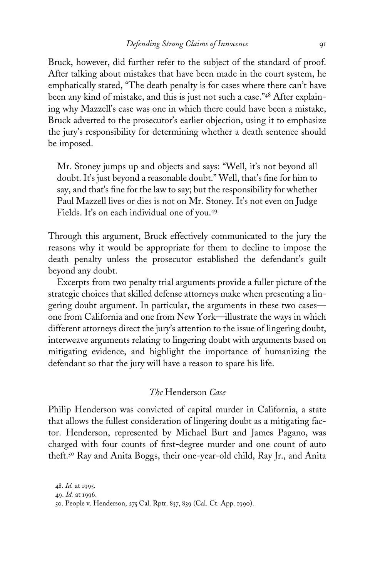Bruck, however, did further refer to the subject of the standard of proof. After talking about mistakes that have been made in the court system, he emphatically stated, "The death penalty is for cases where there can't have been any kind of mistake, and this is just not such a case."48 After explaining why Mazzell's case was one in which there could have been a mistake, Bruck adverted to the prosecutor's earlier objection, using it to emphasize the jury's responsibility for determining whether a death sentence should be imposed.

Mr. Stoney jumps up and objects and says: "Well, it's not beyond all doubt. It's just beyond a reasonable doubt." Well, that's fine for him to say, and that's fine for the law to say; but the responsibility for whether Paul Mazzell lives or dies is not on Mr. Stoney. It's not even on Judge Fields. It's on each individual one of you.49

Through this argument, Bruck effectively communicated to the jury the reasons why it would be appropriate for them to decline to impose the death penalty unless the prosecutor established the defendant's guilt beyond any doubt.

Excerpts from two penalty trial arguments provide a fuller picture of the strategic choices that skilled defense attorneys make when presenting a lingering doubt argument. In particular, the arguments in these two cases one from California and one from New York—illustrate the ways in which different attorneys direct the jury's attention to the issue of lingering doubt, interweave arguments relating to lingering doubt with arguments based on mitigating evidence, and highlight the importance of humanizing the defendant so that the jury will have a reason to spare his life.

#### *The* Henderson *Case*

Philip Henderson was convicted of capital murder in California, a state that allows the fullest consideration of lingering doubt as a mitigating factor. Henderson, represented by Michael Burt and James Pagano, was charged with four counts of first-degree murder and one count of auto theft.50 Ray and Anita Boggs, their one-year-old child, Ray Jr., and Anita

48. *Id.* at 1995.

49. *Id.* at 1996.

<sup>50.</sup> People v. Henderson, 275 Cal. Rptr. 837, 839 (Cal. Ct. App. 1990).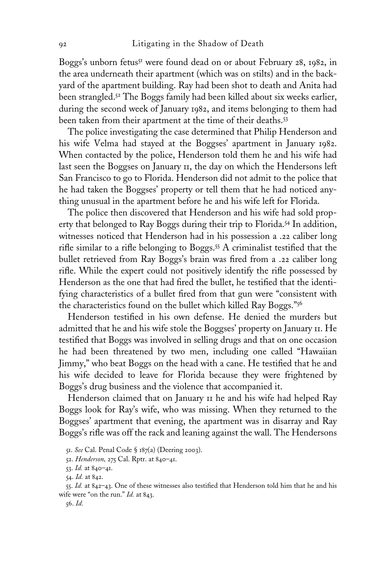Boggs's unborn fetus<sup>51</sup> were found dead on or about February 28, 1982, in the area underneath their apartment (which was on stilts) and in the backyard of the apartment building. Ray had been shot to death and Anita had been strangled.52 The Boggs family had been killed about six weeks earlier, during the second week of January 1982, and items belonging to them had been taken from their apartment at the time of their deaths.<sup>53</sup>

The police investigating the case determined that Philip Henderson and his wife Velma had stayed at the Boggses' apartment in January 1982. When contacted by the police, Henderson told them he and his wife had last seen the Boggses on January 11, the day on which the Hendersons left San Francisco to go to Florida. Henderson did not admit to the police that he had taken the Boggses' property or tell them that he had noticed anything unusual in the apartment before he and his wife left for Florida.

The police then discovered that Henderson and his wife had sold property that belonged to Ray Boggs during their trip to Florida.54 In addition, witnesses noticed that Henderson had in his possession a .22 caliber long rifle similar to a rifle belonging to Boggs.<sup>55</sup> A criminalist testified that the bullet retrieved from Ray Boggs's brain was fired from a .22 caliber long rifle. While the expert could not positively identify the rifle possessed by Henderson as the one that had fired the bullet, he testified that the identifying characteristics of a bullet fired from that gun were "consistent with the characteristics found on the bullet which killed Ray Boggs."56

Henderson testified in his own defense. He denied the murders but admitted that he and his wife stole the Boggses' property on January 11. He testified that Boggs was involved in selling drugs and that on one occasion he had been threatened by two men, including one called "Hawaiian Jimmy," who beat Boggs on the head with a cane. He testified that he and his wife decided to leave for Florida because they were frightened by Boggs's drug business and the violence that accompanied it.

Henderson claimed that on January 11 he and his wife had helped Ray Boggs look for Ray's wife, who was missing. When they returned to the Boggses' apartment that evening, the apartment was in disarray and Ray Boggs's rifle was off the rack and leaning against the wall. The Hendersons

56. *Id.*

<sup>51.</sup> *See* Cal. Penal Code § 187(a) (Deering 2003).

<sup>52.</sup> *Henderson,* 275 Cal. Rptr. at 840–41.

<sup>53.</sup> *Id.* at 840–41.

<sup>54.</sup> *Id.* at 842.

<sup>55.</sup> *Id.* at 842–43. One of these witnesses also testified that Henderson told him that he and his wife were "on the run." *Id.* at 843.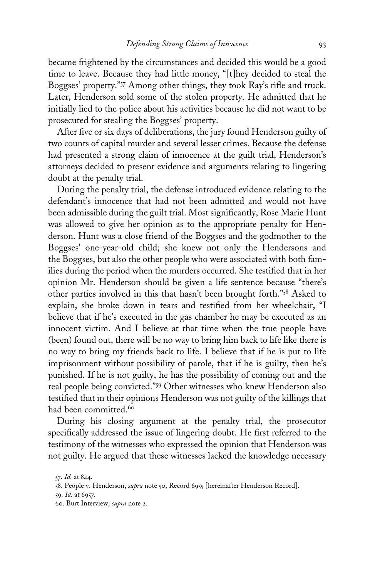became frightened by the circumstances and decided this would be a good time to leave. Because they had little money, "[t]hey decided to steal the Boggses' property."<sup>57</sup> Among other things, they took Ray's rifle and truck. Later, Henderson sold some of the stolen property. He admitted that he initially lied to the police about his activities because he did not want to be prosecuted for stealing the Boggses' property.

After five or six days of deliberations, the jury found Henderson guilty of two counts of capital murder and several lesser crimes. Because the defense had presented a strong claim of innocence at the guilt trial, Henderson's attorneys decided to present evidence and arguments relating to lingering doubt at the penalty trial.

During the penalty trial, the defense introduced evidence relating to the defendant's innocence that had not been admitted and would not have been admissible during the guilt trial. Most significantly, Rose Marie Hunt was allowed to give her opinion as to the appropriate penalty for Henderson. Hunt was a close friend of the Boggses and the godmother to the Boggses' one-year-old child; she knew not only the Hendersons and the Boggses, but also the other people who were associated with both families during the period when the murders occurred. She testified that in her opinion Mr. Henderson should be given a life sentence because "there's other parties involved in this that hasn't been brought forth."58 Asked to explain, she broke down in tears and testified from her wheelchair, "I believe that if he's executed in the gas chamber he may be executed as an innocent victim. And I believe at that time when the true people have (been) found out, there will be no way to bring him back to life like there is no way to bring my friends back to life. I believe that if he is put to life imprisonment without possibility of parole, that if he is guilty, then he's punished. If he is not guilty, he has the possibility of coming out and the real people being convicted."59 Other witnesses who knew Henderson also testified that in their opinions Henderson was not guilty of the killings that had been committed.<sup>60</sup>

During his closing argument at the penalty trial, the prosecutor specifically addressed the issue of lingering doubt. He first referred to the testimony of the witnesses who expressed the opinion that Henderson was not guilty. He argued that these witnesses lacked the knowledge necessary

<sup>57.</sup> *Id.* at 844.

<sup>58.</sup> People v. Henderson, *supra* note 50, Record 6955 [hereinafter Henderson Record].

<sup>59.</sup> *Id.* at 6957.

<sup>60.</sup> Burt Interview, *supra* note 2.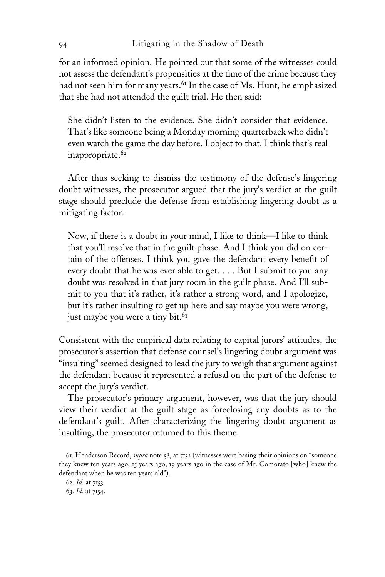for an informed opinion. He pointed out that some of the witnesses could not assess the defendant's propensities at the time of the crime because they had not seen him for many years.<sup>61</sup> In the case of Ms. Hunt, he emphasized that she had not attended the guilt trial. He then said:

She didn't listen to the evidence. She didn't consider that evidence. That's like someone being a Monday morning quarterback who didn't even watch the game the day before. I object to that. I think that's real inappropriate.<sup>62</sup>

After thus seeking to dismiss the testimony of the defense's lingering doubt witnesses, the prosecutor argued that the jury's verdict at the guilt stage should preclude the defense from establishing lingering doubt as a mitigating factor.

Now, if there is a doubt in your mind, I like to think—I like to think that you'll resolve that in the guilt phase. And I think you did on certain of the offenses. I think you gave the defendant every benefit of every doubt that he was ever able to get. . . . But I submit to you any doubt was resolved in that jury room in the guilt phase. And I'll submit to you that it's rather, it's rather a strong word, and I apologize, but it's rather insulting to get up here and say maybe you were wrong, just maybe you were a tiny bit.<sup>63</sup>

Consistent with the empirical data relating to capital jurors' attitudes, the prosecutor's assertion that defense counsel's lingering doubt argument was "insulting" seemed designed to lead the jury to weigh that argument against the defendant because it represented a refusal on the part of the defense to accept the jury's verdict.

The prosecutor's primary argument, however, was that the jury should view their verdict at the guilt stage as foreclosing any doubts as to the defendant's guilt. After characterizing the lingering doubt argument as insulting, the prosecutor returned to this theme.

62. *Id.* at 7153. 63. *Id.* at 7154.

<sup>61.</sup> Henderson Record, *supra* note 58, at 7152 (witnesses were basing their opinions on "someone they knew ten years ago, 15 years ago, 19 years ago in the case of Mr. Comorato [who] knew the defendant when he was ten years old").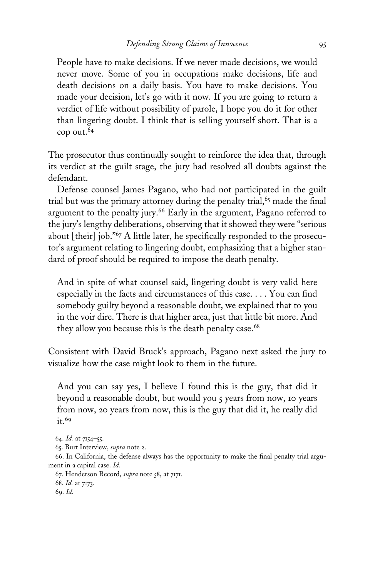People have to make decisions. If we never made decisions, we would never move. Some of you in occupations make decisions, life and death decisions on a daily basis. You have to make decisions. You made your decision, let's go with it now. If you are going to return a verdict of life without possibility of parole, I hope you do it for other than lingering doubt. I think that is selling yourself short. That is a cop out.<sup>64</sup>

The prosecutor thus continually sought to reinforce the idea that, through its verdict at the guilt stage, the jury had resolved all doubts against the defendant.

Defense counsel James Pagano, who had not participated in the guilt trial but was the primary attorney during the penalty trial,<sup>65</sup> made the final argument to the penalty jury.<sup>66</sup> Early in the argument, Pagano referred to the jury's lengthy deliberations, observing that it showed they were "serious about [their] job."67 A little later, he specifically responded to the prosecutor's argument relating to lingering doubt, emphasizing that a higher standard of proof should be required to impose the death penalty.

And in spite of what counsel said, lingering doubt is very valid here especially in the facts and circumstances of this case. . . . You can find somebody guilty beyond a reasonable doubt, we explained that to you in the voir dire. There is that higher area, just that little bit more. And they allow you because this is the death penalty case.<sup>68</sup>

Consistent with David Bruck's approach, Pagano next asked the jury to visualize how the case might look to them in the future.

And you can say yes, I believe I found this is the guy, that did it beyond a reasonable doubt, but would you 5 years from now, 10 years from now, 20 years from now, this is the guy that did it, he really did it.<sup>69</sup>

64. *Id.* at 7154–55.

65. Burt Interview, *supra* note 2.

66. In California, the defense always has the opportunity to make the final penalty trial argument in a capital case. *Id.*

67. Henderson Record, *supra* note 58, at 7171.

68. *Id.* at 7173.

69. *Id.*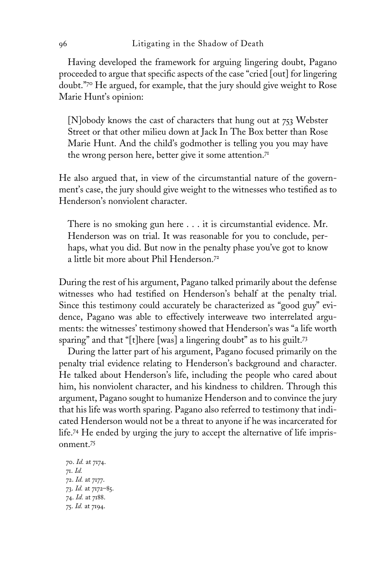Having developed the framework for arguing lingering doubt, Pagano proceeded to argue that specific aspects of the case "cried [out] for lingering doubt."70 He argued, for example, that the jury should give weight to Rose Marie Hunt's opinion:

[N]obody knows the cast of characters that hung out at 753 Webster Street or that other milieu down at Jack In The Box better than Rose Marie Hunt. And the child's godmother is telling you you may have the wrong person here, better give it some attention. $7<sup>T</sup>$ 

He also argued that, in view of the circumstantial nature of the government's case, the jury should give weight to the witnesses who testified as to Henderson's nonviolent character.

There is no smoking gun here . . . it is circumstantial evidence. Mr. Henderson was on trial. It was reasonable for you to conclude, perhaps, what you did. But now in the penalty phase you've got to know a little bit more about Phil Henderson.72

During the rest of his argument, Pagano talked primarily about the defense witnesses who had testified on Henderson's behalf at the penalty trial. Since this testimony could accurately be characterized as "good guy" evidence, Pagano was able to effectively interweave two interrelated arguments: the witnesses' testimony showed that Henderson's was "a life worth sparing" and that "[t]here [was] a lingering doubt" as to his guilt.<sup>73</sup>

During the latter part of his argument, Pagano focused primarily on the penalty trial evidence relating to Henderson's background and character. He talked about Henderson's life, including the people who cared about him, his nonviolent character, and his kindness to children. Through this argument, Pagano sought to humanize Henderson and to convince the jury that his life was worth sparing. Pagano also referred to testimony that indicated Henderson would not be a threat to anyone if he was incarcerated for life.<sup>74</sup> He ended by urging the jury to accept the alternative of life imprisonment.75

70. *Id.* at 7174. 71. *Id.* 72. *Id.* at 7177. 73. *Id.* at 7172–85. 74. *Id.* at 7188. 75. *Id.* at 7194.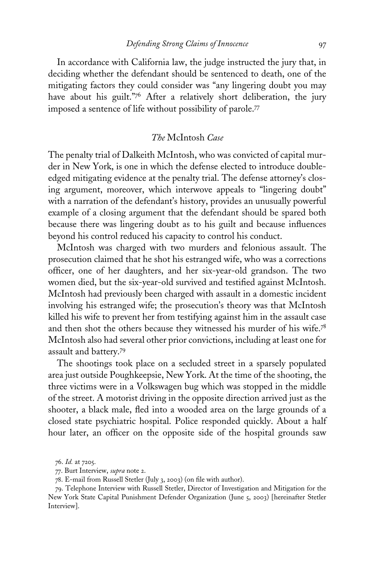In accordance with California law, the judge instructed the jury that, in deciding whether the defendant should be sentenced to death, one of the mitigating factors they could consider was "any lingering doubt you may have about his guilt."7<sup>6</sup> After a relatively short deliberation, the jury imposed a sentence of life without possibility of parole.77

#### *The* McIntosh *Case*

The penalty trial of Dalkeith McIntosh, who was convicted of capital murder in New York, is one in which the defense elected to introduce doubleedged mitigating evidence at the penalty trial. The defense attorney's closing argument, moreover, which interwove appeals to "lingering doubt" with a narration of the defendant's history, provides an unusually powerful example of a closing argument that the defendant should be spared both because there was lingering doubt as to his guilt and because influences beyond his control reduced his capacity to control his conduct.

McIntosh was charged with two murders and felonious assault. The prosecution claimed that he shot his estranged wife, who was a corrections officer, one of her daughters, and her six-year-old grandson. The two women died, but the six-year-old survived and testified against McIntosh. McIntosh had previously been charged with assault in a domestic incident involving his estranged wife; the prosecution's theory was that McIntosh killed his wife to prevent her from testifying against him in the assault case and then shot the others because they witnessed his murder of his wife.78 McIntosh also had several other prior convictions, including at least one for assault and battery.79

The shootings took place on a secluded street in a sparsely populated area just outside Poughkeepsie, New York. At the time of the shooting, the three victims were in a Volkswagen bug which was stopped in the middle of the street. A motorist driving in the opposite direction arrived just as the shooter, a black male, fled into a wooded area on the large grounds of a closed state psychiatric hospital. Police responded quickly. About a half hour later, an officer on the opposite side of the hospital grounds saw

<sup>76.</sup> *Id.* at 7205.

<sup>77.</sup> Burt Interview, *supra* note 2.

<sup>78.</sup> E-mail from Russell Stetler (July 3, 2003) (on file with author).

<sup>79.</sup> Telephone Interview with Russell Stetler, Director of Investigation and Mitigation for the New York State Capital Punishment Defender Organization (June 5, 2003) [hereinafter Stetler Interview].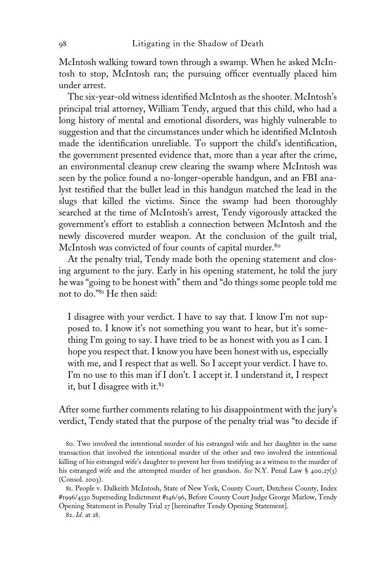McIntosh walking toward town through a swamp. When he asked McIntosh to stop, McIntosh ran; the pursuing officer eventually placed him under arrest.

The six-year-old witness identified McIntosh as the shooter. McIntosh's principal trial attorney, William Tendy, argued that this child, who had a long history of mental and emotional disorders, was highly vulnerable to suggestion and that the circumstances under which he identified McIntosh made the identification unreliable. To support the child's identification, the government presented evidence that, more than a year after the crime, an environmental cleanup crew clearing the swamp where McIntosh was seen by the police found a no-longer-operable handgun, and an FBI analyst testified that the bullet lead in this handgun matched the lead in the slugs that killed the victims. Since the swamp had been thoroughly searched at the time of McIntosh's arrest, Tendy vigorously attacked the government's effort to establish a connection between McIntosh and the newly discovered murder weapon. At the conclusion of the guilt trial, McIntosh was convicted of four counts of capital murder.<sup>80</sup>

At the penalty trial, Tendy made both the opening statement and closing argument to the jury. Early in his opening statement, he told the jury he was "going to be honest with" them and "do things some people told me not to do."81 He then said:

I disagree with your verdict. I have to say that. I know I'm not supposed to. I know it's not something you want to hear, but it's something I'm going to say. I have tried to be as honest with you as I can. I hope you respect that. I know you have been honest with us, especially with me, and I respect that as well. So I accept your verdict. I have to. I'm no use to this man if I don't. I accept it. I understand it, I respect it, but I disagree with it.<sup>82</sup>

# After some further comments relating to his disappointment with the jury's verdict, Tendy stated that the purpose of the penalty trial was "to decide if

80. Two involved the intentional murder of his estranged wife and her daughter in the same transaction that involved the intentional murder of the other and two involved the intentional killing of his estranged wife's daughter to prevent her from testifying as a witness to the murder of his estranged wife and the attempted murder of her grandson. *See* N.Y. Penal Law § 400.27(3) (Consol. 2003).

81. People v. Dalkeith McIntosh, State of New York, County Court, Dutchess County, Index #1996/4530 Superseding Indictment #146/96, Before County Court Judge George Marlow, Tendy Opening Statement in Penalty Trial 27 [hereinafter Tendy Opening Statement].

82. *Id.* at 28.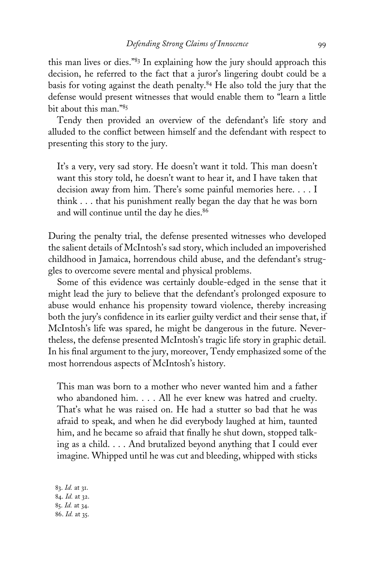this man lives or dies."83 In explaining how the jury should approach this decision, he referred to the fact that a juror's lingering doubt could be a basis for voting against the death penalty.84 He also told the jury that the defense would present witnesses that would enable them to "learn a little bit about this man."85

Tendy then provided an overview of the defendant's life story and alluded to the conflict between himself and the defendant with respect to presenting this story to the jury.

It's a very, very sad story. He doesn't want it told. This man doesn't want this story told, he doesn't want to hear it, and I have taken that decision away from him. There's some painful memories here. . . . I think . . . that his punishment really began the day that he was born and will continue until the day he dies.<sup>86</sup>

During the penalty trial, the defense presented witnesses who developed the salient details of McIntosh's sad story, which included an impoverished childhood in Jamaica, horrendous child abuse, and the defendant's struggles to overcome severe mental and physical problems.

Some of this evidence was certainly double-edged in the sense that it might lead the jury to believe that the defendant's prolonged exposure to abuse would enhance his propensity toward violence, thereby increasing both the jury's confidence in its earlier guilty verdict and their sense that, if McIntosh's life was spared, he might be dangerous in the future. Nevertheless, the defense presented McIntosh's tragic life story in graphic detail. In his final argument to the jury, moreover, Tendy emphasized some of the most horrendous aspects of McIntosh's history.

This man was born to a mother who never wanted him and a father who abandoned him. . . . All he ever knew was hatred and cruelty. That's what he was raised on. He had a stutter so bad that he was afraid to speak, and when he did everybody laughed at him, taunted him, and he became so afraid that finally he shut down, stopped talking as a child. . . . And brutalized beyond anything that I could ever imagine. Whipped until he was cut and bleeding, whipped with sticks

83. *Id.* at 31. 84. *Id.* at 32. 85. *Id.* at 34. 86. *Id.* at 35.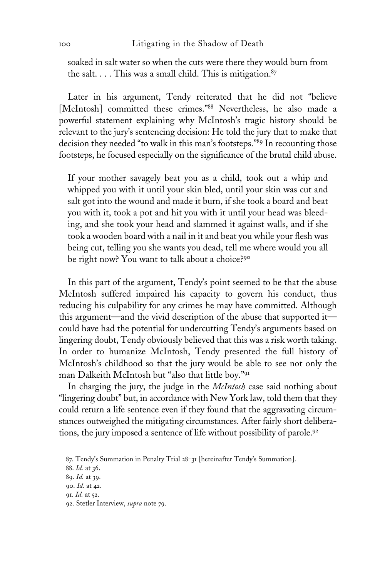soaked in salt water so when the cuts were there they would burn from the salt.  $\ldots$  This was a small child. This is mitigation.<sup>87</sup>

Later in his argument, Tendy reiterated that he did not "believe [McIntosh] committed these crimes."88 Nevertheless, he also made a powerful statement explaining why McIntosh's tragic history should be relevant to the jury's sentencing decision: He told the jury that to make that decision they needed "to walk in this man's footsteps."89 In recounting those footsteps, he focused especially on the significance of the brutal child abuse.

If your mother savagely beat you as a child, took out a whip and whipped you with it until your skin bled, until your skin was cut and salt got into the wound and made it burn, if she took a board and beat you with it, took a pot and hit you with it until your head was bleeding, and she took your head and slammed it against walls, and if she took a wooden board with a nail in it and beat you while your flesh was being cut, telling you she wants you dead, tell me where would you all be right now? You want to talk about a choice?<sup>90</sup>

In this part of the argument, Tendy's point seemed to be that the abuse McIntosh suffered impaired his capacity to govern his conduct, thus reducing his culpability for any crimes he may have committed. Although this argument—and the vivid description of the abuse that supported it could have had the potential for undercutting Tendy's arguments based on lingering doubt, Tendy obviously believed that this was a risk worth taking. In order to humanize McIntosh, Tendy presented the full history of McIntosh's childhood so that the jury would be able to see not only the man Dalkeith McIntosh but "also that little boy."91

In charging the jury, the judge in the *McIntosh* case said nothing about "lingering doubt" but, in accordance with New York law, told them that they could return a life sentence even if they found that the aggravating circumstances outweighed the mitigating circumstances. After fairly short deliberations, the jury imposed a sentence of life without possibility of parole.<sup>92</sup>

<sup>87.</sup> Tendy's Summation in Penalty Trial 28–31 [hereinafter Tendy's Summation].

<sup>88.</sup> *Id.* at 36.

<sup>89.</sup> *Id.* at 39.

<sup>90.</sup> *Id.* at 42.

<sup>91.</sup> *Id.* at 52.

<sup>92.</sup> Stetler Interview, *supra* note 79.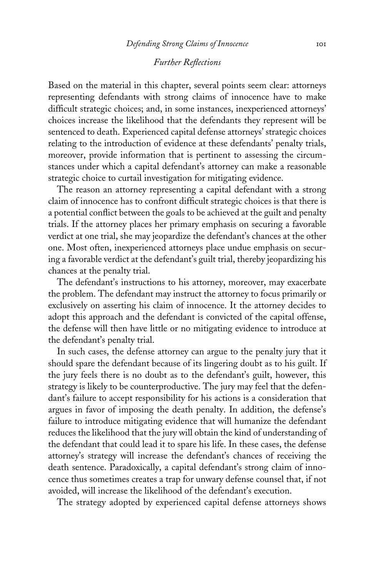# *Further Reflections*

Based on the material in this chapter, several points seem clear: attorneys representing defendants with strong claims of innocence have to make difficult strategic choices; and, in some instances, inexperienced attorneys' choices increase the likelihood that the defendants they represent will be sentenced to death. Experienced capital defense attorneys' strategic choices relating to the introduction of evidence at these defendants' penalty trials, moreover, provide information that is pertinent to assessing the circumstances under which a capital defendant's attorney can make a reasonable strategic choice to curtail investigation for mitigating evidence.

The reason an attorney representing a capital defendant with a strong claim of innocence has to confront difficult strategic choices is that there is a potential conflict between the goals to be achieved at the guilt and penalty trials. If the attorney places her primary emphasis on securing a favorable verdict at one trial, she may jeopardize the defendant's chances at the other one. Most often, inexperienced attorneys place undue emphasis on securing a favorable verdict at the defendant's guilt trial, thereby jeopardizing his chances at the penalty trial.

The defendant's instructions to his attorney, moreover, may exacerbate the problem. The defendant may instruct the attorney to focus primarily or exclusively on asserting his claim of innocence. It the attorney decides to adopt this approach and the defendant is convicted of the capital offense, the defense will then have little or no mitigating evidence to introduce at the defendant's penalty trial.

In such cases, the defense attorney can argue to the penalty jury that it should spare the defendant because of its lingering doubt as to his guilt. If the jury feels there is no doubt as to the defendant's guilt, however, this strategy is likely to be counterproductive. The jury may feel that the defendant's failure to accept responsibility for his actions is a consideration that argues in favor of imposing the death penalty. In addition, the defense's failure to introduce mitigating evidence that will humanize the defendant reduces the likelihood that the jury will obtain the kind of understanding of the defendant that could lead it to spare his life. In these cases, the defense attorney's strategy will increase the defendant's chances of receiving the death sentence. Paradoxically, a capital defendant's strong claim of innocence thus sometimes creates a trap for unwary defense counsel that, if not avoided, will increase the likelihood of the defendant's execution.

The strategy adopted by experienced capital defense attorneys shows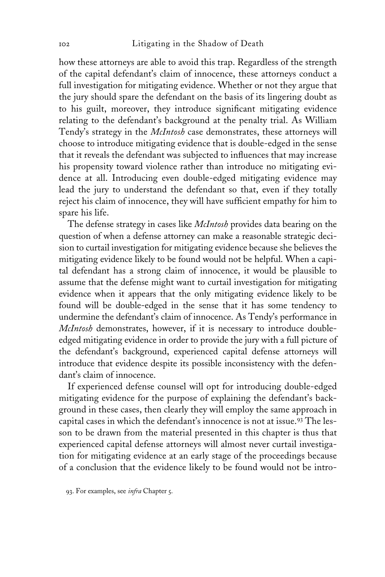how these attorneys are able to avoid this trap. Regardless of the strength of the capital defendant's claim of innocence, these attorneys conduct a full investigation for mitigating evidence. Whether or not they argue that the jury should spare the defendant on the basis of its lingering doubt as to his guilt, moreover, they introduce significant mitigating evidence relating to the defendant's background at the penalty trial. As William Tendy's strategy in the *McIntosh* case demonstrates, these attorneys will choose to introduce mitigating evidence that is double-edged in the sense that it reveals the defendant was subjected to influences that may increase his propensity toward violence rather than introduce no mitigating evidence at all. Introducing even double-edged mitigating evidence may lead the jury to understand the defendant so that, even if they totally reject his claim of innocence, they will have sufficient empathy for him to spare his life.

The defense strategy in cases like *McIntosh* provides data bearing on the question of when a defense attorney can make a reasonable strategic decision to curtail investigation for mitigating evidence because she believes the mitigating evidence likely to be found would not be helpful. When a capital defendant has a strong claim of innocence, it would be plausible to assume that the defense might want to curtail investigation for mitigating evidence when it appears that the only mitigating evidence likely to be found will be double-edged in the sense that it has some tendency to undermine the defendant's claim of innocence. As Tendy's performance in *McIntosh* demonstrates, however, if it is necessary to introduce doubleedged mitigating evidence in order to provide the jury with a full picture of the defendant's background, experienced capital defense attorneys will introduce that evidence despite its possible inconsistency with the defendant's claim of innocence.

If experienced defense counsel will opt for introducing double-edged mitigating evidence for the purpose of explaining the defendant's background in these cases, then clearly they will employ the same approach in capital cases in which the defendant's innocence is not at issue.<sup>93</sup> The lesson to be drawn from the material presented in this chapter is thus that experienced capital defense attorneys will almost never curtail investigation for mitigating evidence at an early stage of the proceedings because of a conclusion that the evidence likely to be found would not be intro-

<sup>93.</sup> For examples, see *infra* Chapter 5.